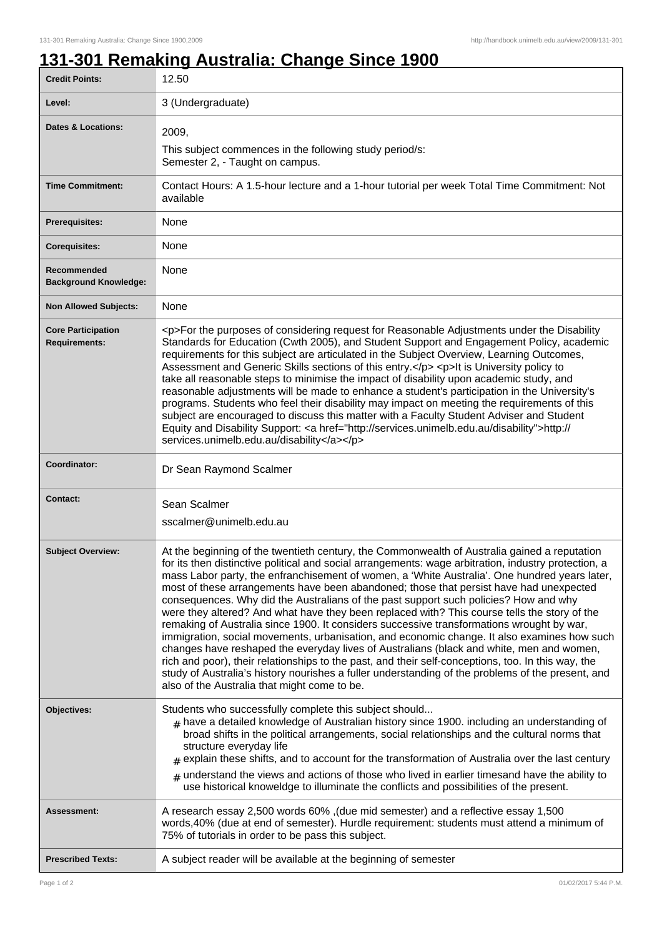## **131-301 Remaking Australia: Change Since 1900**

| <b>Credit Points:</b>                             | 12.50                                                                                                                                                                                                                                                                                                                                                                                                                                                                                                                                                                                                                                                                                                                                                                                                                                                                                                                                                                                                                                                                                                                                      |
|---------------------------------------------------|--------------------------------------------------------------------------------------------------------------------------------------------------------------------------------------------------------------------------------------------------------------------------------------------------------------------------------------------------------------------------------------------------------------------------------------------------------------------------------------------------------------------------------------------------------------------------------------------------------------------------------------------------------------------------------------------------------------------------------------------------------------------------------------------------------------------------------------------------------------------------------------------------------------------------------------------------------------------------------------------------------------------------------------------------------------------------------------------------------------------------------------------|
| Level:                                            | 3 (Undergraduate)                                                                                                                                                                                                                                                                                                                                                                                                                                                                                                                                                                                                                                                                                                                                                                                                                                                                                                                                                                                                                                                                                                                          |
| <b>Dates &amp; Locations:</b>                     | 2009,                                                                                                                                                                                                                                                                                                                                                                                                                                                                                                                                                                                                                                                                                                                                                                                                                                                                                                                                                                                                                                                                                                                                      |
|                                                   | This subject commences in the following study period/s:<br>Semester 2, - Taught on campus.                                                                                                                                                                                                                                                                                                                                                                                                                                                                                                                                                                                                                                                                                                                                                                                                                                                                                                                                                                                                                                                 |
| <b>Time Commitment:</b>                           | Contact Hours: A 1.5-hour lecture and a 1-hour tutorial per week Total Time Commitment: Not<br>available                                                                                                                                                                                                                                                                                                                                                                                                                                                                                                                                                                                                                                                                                                                                                                                                                                                                                                                                                                                                                                   |
| <b>Prerequisites:</b>                             | None                                                                                                                                                                                                                                                                                                                                                                                                                                                                                                                                                                                                                                                                                                                                                                                                                                                                                                                                                                                                                                                                                                                                       |
| <b>Corequisites:</b>                              | None                                                                                                                                                                                                                                                                                                                                                                                                                                                                                                                                                                                                                                                                                                                                                                                                                                                                                                                                                                                                                                                                                                                                       |
| Recommended<br><b>Background Knowledge:</b>       | None                                                                                                                                                                                                                                                                                                                                                                                                                                                                                                                                                                                                                                                                                                                                                                                                                                                                                                                                                                                                                                                                                                                                       |
| <b>Non Allowed Subjects:</b>                      | None                                                                                                                                                                                                                                                                                                                                                                                                                                                                                                                                                                                                                                                                                                                                                                                                                                                                                                                                                                                                                                                                                                                                       |
| <b>Core Participation</b><br><b>Requirements:</b> | <p>For the purposes of considering request for Reasonable Adjustments under the Disability<br/>Standards for Education (Cwth 2005), and Student Support and Engagement Policy, academic<br/>requirements for this subject are articulated in the Subject Overview, Learning Outcomes,<br/>Assessment and Generic Skills sections of this entry.</p> <p>lt is University policy to<br/>take all reasonable steps to minimise the impact of disability upon academic study, and<br/>reasonable adjustments will be made to enhance a student's participation in the University's<br/>programs. Students who feel their disability may impact on meeting the requirements of this<br/>subject are encouraged to discuss this matter with a Faculty Student Adviser and Student<br/>Equity and Disability Support: <a href="http://services.unimelb.edu.au/disability">http://<br/>services.unimelb.edu.au/disability</a></p>                                                                                                                                                                                                                  |
| Coordinator:                                      | Dr Sean Raymond Scalmer                                                                                                                                                                                                                                                                                                                                                                                                                                                                                                                                                                                                                                                                                                                                                                                                                                                                                                                                                                                                                                                                                                                    |
| <b>Contact:</b>                                   | Sean Scalmer                                                                                                                                                                                                                                                                                                                                                                                                                                                                                                                                                                                                                                                                                                                                                                                                                                                                                                                                                                                                                                                                                                                               |
|                                                   | sscalmer@unimelb.edu.au                                                                                                                                                                                                                                                                                                                                                                                                                                                                                                                                                                                                                                                                                                                                                                                                                                                                                                                                                                                                                                                                                                                    |
| <b>Subject Overview:</b>                          | At the beginning of the twentieth century, the Commonwealth of Australia gained a reputation<br>for its then distinctive political and social arrangements: wage arbitration, industry protection, a<br>mass Labor party, the enfranchisement of women, a 'White Australia'. One hundred years later,<br>most of these arrangements have been abandoned; those that persist have had unexpected<br>consequences. Why did the Australians of the past support such policies? How and why<br>were they altered? And what have they been replaced with? This course tells the story of the<br>remaking of Australia since 1900. It considers successive transformations wrought by war,<br>immigration, social movements, urbanisation, and economic change. It also examines how such<br>changes have reshaped the everyday lives of Australians (black and white, men and women,<br>rich and poor), their relationships to the past, and their self-conceptions, too. In this way, the<br>study of Australia's history nourishes a fuller understanding of the problems of the present, and<br>also of the Australia that might come to be. |
| Objectives:                                       | Students who successfully complete this subject should<br>$*$ have a detailed knowledge of Australian history since 1900. including an understanding of<br>broad shifts in the political arrangements, social relationships and the cultural norms that<br>structure everyday life<br>$_{\#}$ explain these shifts, and to account for the transformation of Australia over the last century<br>$_{\#}$ understand the views and actions of those who lived in earlier timesand have the ability to<br>use historical knoweldge to illuminate the conflicts and possibilities of the present.                                                                                                                                                                                                                                                                                                                                                                                                                                                                                                                                              |
| Assessment:                                       | A research essay 2,500 words 60% , (due mid semester) and a reflective essay 1,500<br>words, 40% (due at end of semester). Hurdle requirement: students must attend a minimum of<br>75% of tutorials in order to be pass this subject.                                                                                                                                                                                                                                                                                                                                                                                                                                                                                                                                                                                                                                                                                                                                                                                                                                                                                                     |
| <b>Prescribed Texts:</b>                          | A subject reader will be available at the beginning of semester                                                                                                                                                                                                                                                                                                                                                                                                                                                                                                                                                                                                                                                                                                                                                                                                                                                                                                                                                                                                                                                                            |